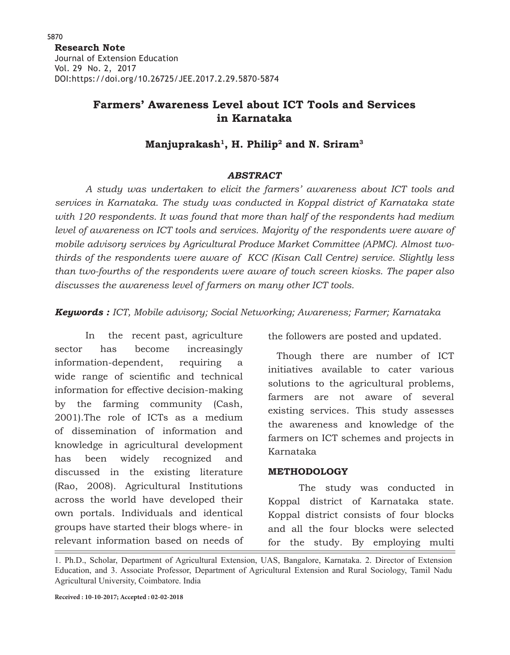**Research Note**  Journal of Extension Education Vol. 29 No. 2, 2017 DOI:https://doi.org/10.26725/JEE.2017.2.29.5870-5874

# **Farmers' Awareness Level about ICT Tools and Services in Karnataka**

## Manjuprakash<sup>1</sup>, H. Philip<sup>2</sup> and N. Sriram<sup>3</sup>

#### *ABSTRACT*

*A study was undertaken to elicit the farmers' awareness about ICT tools and services in Karnataka. The study was conducted in Koppal district of Karnataka state with 120 respondents. It was found that more than half of the respondents had medium level of awareness on ICT tools and services. Majority of the respondents were aware of mobile advisory services by Agricultural Produce Market Committee (APMC). Almost twothirds of the respondents were aware of KCC (Kisan Call Centre) service. Slightly less than two-fourths of the respondents were aware of touch screen kiosks. The paper also discusses the awareness level of farmers on many other ICT tools.*

*Keywords : ICT, Mobile advisory; Social Networking; Awareness; Farmer; Karnataka*

In the recent past, agriculture sector has become increasingly information-dependent, requiring a wide range of scientific and technical information for effective decision-making by the farming community (Cash, 2001).The role of ICTs as a medium of dissemination of information and knowledge in agricultural development has been widely recognized and discussed in the existing literature (Rao, 2008). Agricultural Institutions across the world have developed their own portals. Individuals and identical groups have started their blogs where- in relevant information based on needs of

the followers are posted and updated.

 Though there are number of ICT initiatives available to cater various solutions to the agricultural problems, farmers are not aware of several existing services. This study assesses the awareness and knowledge of the farmers on ICT schemes and projects in Karnataka

#### **METHODOLOGY**

The study was conducted in Koppal district of Karnataka state. Koppal district consists of four blocks and all the four blocks were selected for the study. By employing multi

1. Ph.D., Scholar, Department of Agricultural Extension, UAS, Bangalore, Karnataka. 2. Director of Extension Education, and 3. Associate Professor, Department of Agricultural Extension and Rural Sociology, Tamil Nadu Agricultural University, Coimbatore. India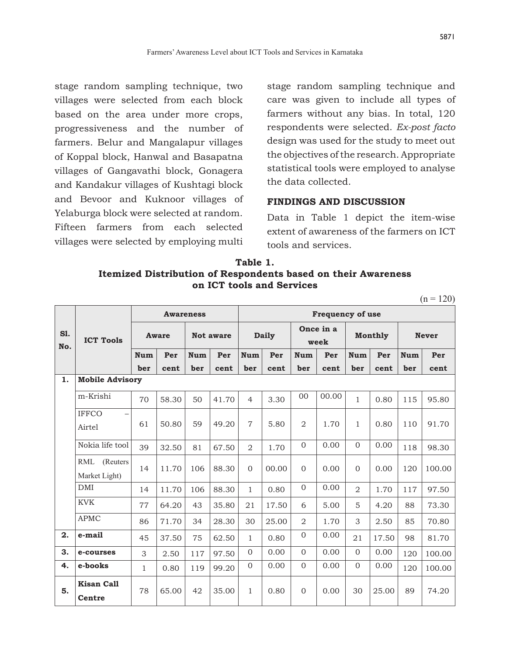stage random sampling technique, two villages were selected from each block based on the area under more crops, progressiveness and the number of farmers. Belur and Mangalapur villages of Koppal block, Hanwal and Basapatna villages of Gangavathi block, Gonagera and Kandakur villages of Kushtagi block and Bevoor and Kuknoor villages of Yelaburga block were selected at random. Fifteen farmers from each selected villages were selected by employing multi stage random sampling technique and care was given to include all types of farmers without any bias. In total, 120 respondents were selected. *Ex-post facto* design was used for the study to meet out the objectives of the research. Appropriate statistical tools were employed to analyse the data collected.

#### **FINDINGS AND DISCUSSION**

Data in Table 1 depict the item-wise extent of awareness of the farmers on ICT tools and services.

### **Table 1. Itemized Distribution of Respondents based on their Awareness on ICT tools and Services**

 $(n = 120)$ 

|            | <b>ICT Tools</b>                                   | <b>Awareness</b> |       |                  |       | <b>Frequency of use</b> |       |                   |       |                |       |              |        |  |
|------------|----------------------------------------------------|------------------|-------|------------------|-------|-------------------------|-------|-------------------|-------|----------------|-------|--------------|--------|--|
| S1.<br>No. |                                                    | <b>Aware</b>     |       | <b>Not aware</b> |       | <b>Daily</b>            |       | Once in a<br>week |       | <b>Monthly</b> |       | <b>Never</b> |        |  |
|            |                                                    | <b>Num</b>       | Per   | <b>Num</b>       | Per   | <b>Num</b>              | Per   | Num               | Per   | <b>Num</b>     | Per   | <b>Num</b>   | Per    |  |
|            |                                                    | ber              | cent  | ber              | cent  | ber                     | cent  | ber               | cent  | ber            | cent  | ber          | cent   |  |
| 1.         | <b>Mobile Advisory</b>                             |                  |       |                  |       |                         |       |                   |       |                |       |              |        |  |
|            | m-Krishi                                           | 70               | 58.30 | 50               | 41.70 | $\overline{4}$          | 3.30  | 00                | 00.00 | $\mathbf{1}$   | 0.80  | 115          | 95.80  |  |
|            | <b>IFFCO</b><br>$\overline{\phantom{0}}$<br>Airtel | 61               | 50.80 | 59               | 49.20 | $\overline{7}$          | 5.80  | $\overline{2}$    | 1.70  | $\mathbf{1}$   | 0.80  | 110          | 91.70  |  |
|            | Nokia life tool                                    | 39               | 32.50 | 81               | 67.50 | $\overline{2}$          | 1.70  | $\overline{0}$    | 0.00  | $\overline{0}$ | 0.00  | 118          | 98.30  |  |
|            | RML<br>(Reuters)<br>Market Light)                  | 14               | 11.70 | 106              | 88.30 | $\Omega$                | 00.00 | $\Omega$          | 0.00  | $\Omega$       | 0.00  | 120          | 100.00 |  |
|            | <b>DMI</b>                                         | 14               | 11.70 | 106              | 88.30 | $\mathbf{1}$            | 0.80  | $\overline{0}$    | 0.00  | $\overline{2}$ | 1.70  | 117          | 97.50  |  |
|            | <b>KVK</b>                                         | 77               | 64.20 | 43               | 35.80 | 21                      | 17.50 | 6                 | 5.00  | 5              | 4.20  | 88           | 73.30  |  |
|            | <b>APMC</b>                                        | 86               | 71.70 | 34               | 28.30 | 30                      | 25.00 | 2                 | 1.70  | 3              | 2.50  | 85           | 70.80  |  |
| 2.         | e-mail                                             | 45               | 37.50 | 75               | 62.50 | $\mathbf{1}$            | 0.80  | $\Omega$          | 0.00  | 21             | 17.50 | 98           | 81.70  |  |
| 3.         | e-courses                                          | 3                | 2.50  | 117              | 97.50 | $\overline{0}$          | 0.00  | $\overline{0}$    | 0.00  | $\overline{0}$ | 0.00  | 120          | 100.00 |  |
| 4.         | e-books                                            | $\mathbf{1}$     | 0.80  | 119              | 99.20 | $\Omega$                | 0.00  | $\Omega$          | 0.00  | $\Omega$       | 0.00  | 120          | 100.00 |  |
| 5.         | <b>Kisan Call</b><br>Centre                        | 78               | 65.00 | 42               | 35.00 | $\mathbf{1}$            | 0.80  | $\Omega$          | 0.00  | 30             | 25.00 | 89           | 74.20  |  |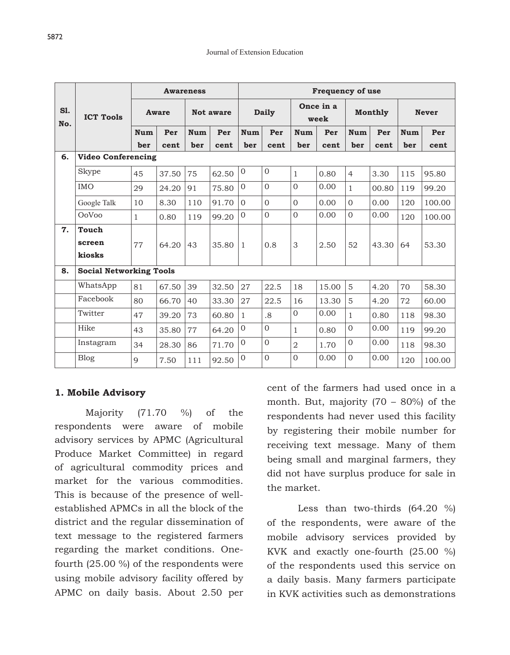|            | <b>ICT Tools</b>               | <b>Awareness</b> |       |            |       | <b>Frequency of use</b> |                |                   |       |                |       |              |        |  |
|------------|--------------------------------|------------------|-------|------------|-------|-------------------------|----------------|-------------------|-------|----------------|-------|--------------|--------|--|
| S1.<br>No. |                                | <b>Aware</b>     |       | Not aware  |       | <b>Daily</b>            |                | Once in a<br>week |       | <b>Monthly</b> |       | <b>Never</b> |        |  |
|            |                                | <b>Num</b>       | Per   | <b>Num</b> | Per   | <b>Num</b>              | Per            | Num               | Per   | <b>Num</b>     | Per   | <b>Num</b>   | Per    |  |
|            |                                | ber              | cent  | ber        | cent  | ber                     | cent           | ber               | cent  | ber            | cent  | ber          | cent   |  |
| 6.         | <b>Video Conferencing</b>      |                  |       |            |       |                         |                |                   |       |                |       |              |        |  |
|            | Skype                          | 45               | 37.50 | 75         | 62.50 | $\mathbf{0}$            | $\overline{0}$ | $\mathbf{1}$      | 0.80  | $\overline{4}$ | 3.30  | 115          | 95.80  |  |
|            | <b>IMO</b>                     | 29               | 24.20 | 91         | 75.80 | $\Omega$                | $\Omega$       | $\Omega$          | 0.00  | $\mathbf{1}$   | 00.80 | 119          | 99.20  |  |
|            | Google Talk                    | 10               | 8.30  | 110        | 91.70 | $\Omega$                | $\Omega$       | $\overline{0}$    | 0.00  | $\Omega$       | 0.00  | 120          | 100.00 |  |
|            | OoVoo                          | $\mathbf{1}$     | 0.80  | 119        | 99.20 | $\Omega$                | $\Omega$       | $\Omega$          | 0.00  | $\Omega$       | 0.00  | 120          | 100.00 |  |
| 7.         | <b>Touch</b>                   |                  |       |            |       |                         |                |                   |       |                |       |              |        |  |
|            | screen                         | 77               | 64.20 | 43         | 35.80 | $\mathbf{1}$            | 0.8            | 3                 | 2.50  | 52             | 43.30 | 64           | 53.30  |  |
|            | kiosks                         |                  |       |            |       |                         |                |                   |       |                |       |              |        |  |
| 8.         | <b>Social Networking Tools</b> |                  |       |            |       |                         |                |                   |       |                |       |              |        |  |
|            | WhatsApp                       | 81               | 67.50 | 39         | 32.50 | 27                      | 22.5           | 18                | 15.00 | 5              | 4.20  | 70           | 58.30  |  |
|            | Facebook                       | 80               | 66.70 | 40         | 33.30 | 27                      | 22.5           | 16                | 13.30 | 5              | 4.20  | 72           | 60.00  |  |
|            | Twitter                        | 47               | 39.20 | 73         | 60.80 | $\mathbf{1}$            | .8             | $\Omega$          | 0.00  | $\mathbf{1}$   | 0.80  | 118          | 98.30  |  |
|            | Hike                           | 43               | 35.80 | 77         | 64.20 | $\Omega$                | $\Omega$       | $\mathbf{1}$      | 0.80  | $\Omega$       | 0.00  | 119          | 99.20  |  |
|            | Instagram                      | 34               | 28.30 | 86         | 71.70 | $\overline{0}$          | $\Omega$       | $\overline{2}$    | 1.70  | $\mathbf{0}$   | 0.00  | 118          | 98.30  |  |
|            | <b>Blog</b>                    | 9                | 7.50  | 111        | 92.50 | $\Omega$                | $\Omega$       | $\Omega$          | 0.00  | $\Omega$       | 0.00  | 120          | 100.00 |  |

#### **1. Mobile Advisory**

Majority (71.70 %) of the respondents were aware of mobile advisory services by APMC (Agricultural Produce Market Committee) in regard of agricultural commodity prices and market for the various commodities. This is because of the presence of wellestablished APMCs in all the block of the district and the regular dissemination of text message to the registered farmers regarding the market conditions. Onefourth (25.00 %) of the respondents were using mobile advisory facility offered by APMC on daily basis. About 2.50 per

cent of the farmers had used once in a month. But, majority (70 – 80%) of the respondents had never used this facility by registering their mobile number for receiving text message. Many of them being small and marginal farmers, they did not have surplus produce for sale in the market.

Less than two-thirds  $(64.20 \%)$ of the respondents, were aware of the mobile advisory services provided by KVK and exactly one-fourth (25.00 %) of the respondents used this service on a daily basis. Many farmers participate in KVK activities such as demonstrations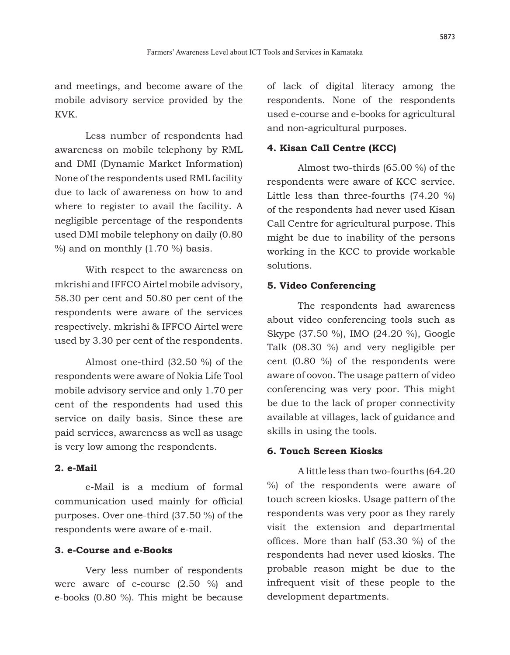and meetings, and become aware of the mobile advisory service provided by the KVK.

Less number of respondents had awareness on mobile telephony by RML and DMI (Dynamic Market Information) None of the respondents used RML facility due to lack of awareness on how to and where to register to avail the facility. A negligible percentage of the respondents used DMI mobile telephony on daily (0.80  $%$ ) and on monthly (1.70 %) basis.

With respect to the awareness on mkrishi and IFFCO Airtel mobile advisory, 58.30 per cent and 50.80 per cent of the respondents were aware of the services respectively. mkrishi & IFFCO Airtel were used by 3.30 per cent of the respondents.

Almost one-third (32.50 %) of the respondents were aware of Nokia Life Tool mobile advisory service and only 1.70 per cent of the respondents had used this service on daily basis. Since these are paid services, awareness as well as usage is very low among the respondents.

#### **2. e-Mail**

e-Mail is a medium of formal communication used mainly for official purposes. Over one-third (37.50 %) of the respondents were aware of e-mail.

### **3. e-Course and e-Books**

Very less number of respondents were aware of e-course (2.50 %) and e-books (0.80 %). This might be because of lack of digital literacy among the respondents. None of the respondents used e-course and e-books for agricultural and non-agricultural purposes.

#### **4. Kisan Call Centre (KCC)**

Almost two-thirds (65.00 %) of the respondents were aware of KCC service. Little less than three-fourths (74.20 %) of the respondents had never used Kisan Call Centre for agricultural purpose. This might be due to inability of the persons working in the KCC to provide workable solutions.

#### **5. Video Conferencing**

The respondents had awareness about video conferencing tools such as Skype (37.50 %), IMO (24.20 %), Google Talk (08.30 %) and very negligible per cent (0.80 %) of the respondents were aware of oovoo. The usage pattern of video conferencing was very poor. This might be due to the lack of proper connectivity available at villages, lack of guidance and skills in using the tools.

### **6. Touch Screen Kiosks**

A little less than two-fourths (64.20 %) of the respondents were aware of touch screen kiosks. Usage pattern of the respondents was very poor as they rarely visit the extension and departmental offices. More than half (53.30 %) of the respondents had never used kiosks. The probable reason might be due to the infrequent visit of these people to the development departments.